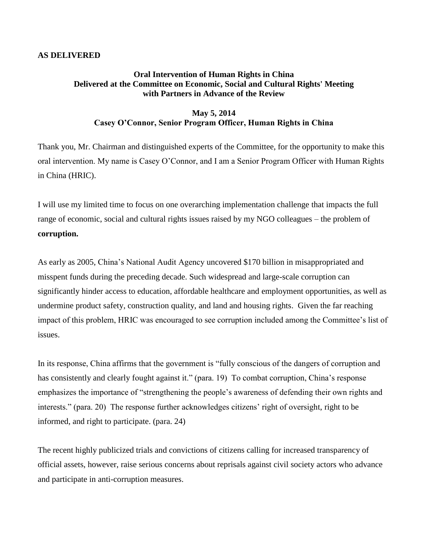## **AS DELIVERED**

## **Oral Intervention of Human Rights in China Delivered at the Committee on Economic, Social and Cultural Rights' Meeting with Partners in Advance of the Review**

## **May 5, 2014 Casey O'Connor, Senior Program Officer, Human Rights in China**

Thank you, Mr. Chairman and distinguished experts of the Committee, for the opportunity to make this oral intervention. My name is Casey O'Connor, and I am a Senior Program Officer with Human Rights in China (HRIC).

I will use my limited time to focus on one overarching implementation challenge that impacts the full range of economic, social and cultural rights issues raised by my NGO colleagues – the problem of **corruption.**

As early as 2005, China's National Audit Agency uncovered \$170 billion in misappropriated and misspent funds during the preceding decade. Such widespread and large-scale corruption can significantly hinder access to education, affordable healthcare and employment opportunities, as well as undermine product safety, construction quality, and land and housing rights. Given the far reaching impact of this problem, HRIC was encouraged to see corruption included among the Committee's list of issues.

In its response, China affirms that the government is "fully conscious of the dangers of corruption and has consistently and clearly fought against it." (para. 19) To combat corruption, China's response emphasizes the importance of "strengthening the people's awareness of defending their own rights and interests." (para. 20) The response further acknowledges citizens' right of oversight, right to be informed, and right to participate. (para. 24)

The recent highly publicized trials and convictions of citizens calling for increased transparency of official assets, however, raise serious concerns about reprisals against civil society actors who advance and participate in anti-corruption measures.